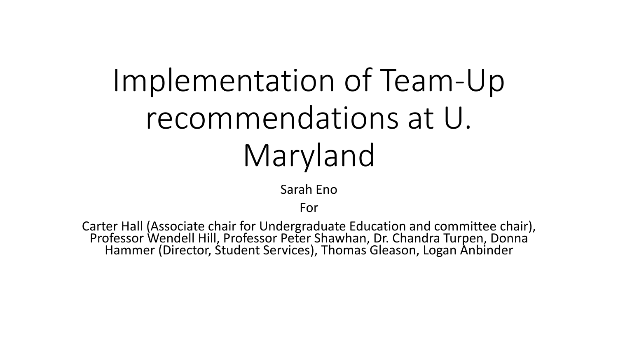# Implementation of Team-Up recommendations at U. Maryland

Sarah Eno

For

Carter Hall (Associate chair for Undergraduate Education and committee chair), Professor Wendell Hill, Professor Peter Shawhan, Dr. Chandra Turpen, Donna Hammer (Director, Student Services), Thomas Gleason, Logan Anbinder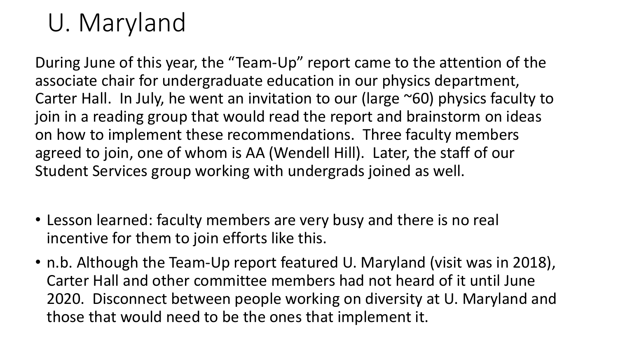## U. Maryland

During June of this year, the "Team-Up" report came to the attention of the associate chair for undergraduate education in our physics department, Carter Hall. In July, he went an invitation to our (large ~60) physics faculty to join in a reading group that would read the report and brainstorm on ideas on how to implement these recommendations. Three faculty members agreed to join, one of whom is AA (Wendell Hill). Later, the staff of our Student Services group working with undergrads joined as well.

- Lesson learned: faculty members are very busy and there is no real incentive for them to join efforts like this.
- n.b. Although the Team-Up report featured U. Maryland (visit was in 2018), Carter Hall and other committee members had not heard of it until June 2020. Disconnect between people working on diversity at U. Maryland and those that would need to be the ones that implement it.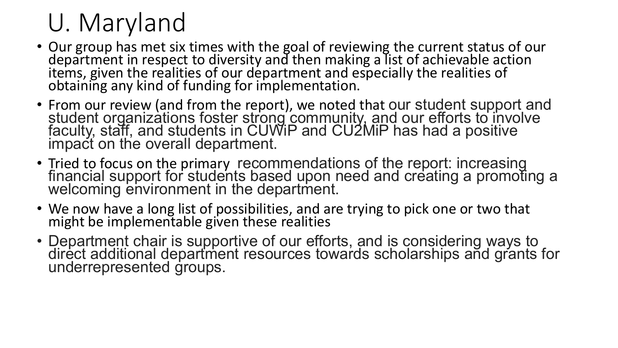## U. Maryland

- Our group has met six times with the goal of reviewing the current status of our department in respect to diversity and then making a list of achievable action items, given the realities of our department and especially the realities of obtaining any kind of funding for implementation.
- From our review (and from the report), we noted that our student support and<br>student organizations foster strong community, and our efforts to involve faculty, staff, and students in CUWiP and CU2MiP has had a positive<br>impact on the overall department.
- Tried to focus on the primary recommendations of the report: increasing<br>financial support for students based upon need and creating a promoting a welcoming environment in the department.
- We now have a long list of possibilities, and are trying to pick one or two that might be implementable given these realities
- Department chair is supportive of our efforts, and is considering ways to direct additional department resources towards scholarships and grants for underrepresented groups.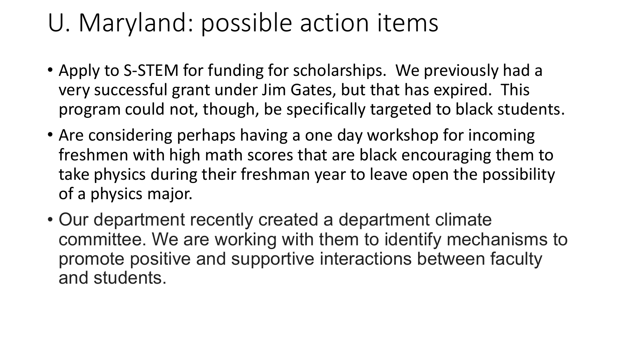## U. Maryland: possible action items

- Apply to S-STEM for funding for scholarships. We previously had a very successful grant under Jim Gates, but that has expired. This program could not, though, be specifically targeted to black students.
- Are considering perhaps having a one day workshop for incoming freshmen with high math scores that are black encouraging them to take physics during their freshman year to leave open the possibility of a physics major.
- Our department recently created a department climate committee. We are working with them to identify mechanisms to promote positive and supportive interactions between faculty and students.